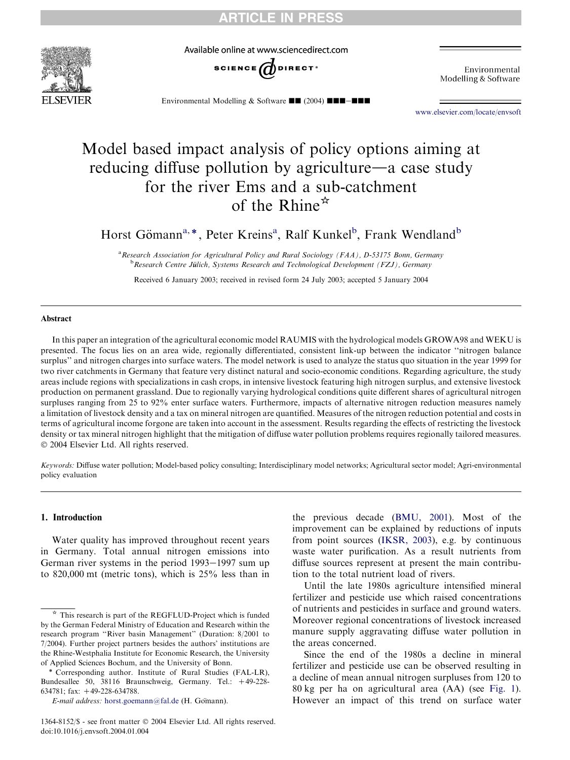

Available online at www.sciencedirect.com



Environmental Modelling & Software  $\blacksquare$  (2004)  $\blacksquare$  $\blacksquare$  $\blacksquare$ 

Environmental Modelling & Software

[www.elsevier.com/locate/envsoft](http://www.elsevier.com/locate/envsoft)

# Model based impact analysis of policy options aiming at reducing diffuse pollution by agriculture—a case study for the river Ems and a sub-catchment of the Rhine $*$

Horst Gömann<sup>a,\*</sup>, Peter Kreins<sup>a</sup>, Ralf Kunkel<sup>b</sup>, Frank Wendland<sup>b</sup>

<sup>a</sup> Research Association for Agricultural Policy and Rural Sociology (FAA), D-53175 Bonn, Germany <sup>b</sup> Research Centre Jülich, Systems Research and Technological Development (FZJ), Germany

Received 6 January 2003; received in revised form 24 July 2003; accepted 5 January 2004

## Abstract

In this paper an integration of the agricultural economic model RAUMIS with the hydrological models GROWA98 and WEKU is presented. The focus lies on an area wide, regionally differentiated, consistent link-up between the indicator ''nitrogen balance surplus'' and nitrogen charges into surface waters. The model network is used to analyze the status quo situation in the year 1999 for two river catchments in Germany that feature very distinct natural and socio-economic conditions. Regarding agriculture, the study areas include regions with specializations in cash crops, in intensive livestock featuring high nitrogen surplus, and extensive livestock production on permanent grassland. Due to regionally varying hydrological conditions quite different shares of agricultural nitrogen surpluses ranging from 25 to 92% enter surface waters. Furthermore, impacts of alternative nitrogen reduction measures namely a limitation of livestock density and a tax on mineral nitrogen are quantified. Measures of the nitrogen reduction potential and costs in terms of agricultural income forgone are taken into account in the assessment. Results regarding the effects of restricting the livestock density or tax mineral nitrogen highlight that the mitigation of diffuse water pollution problems requires regionally tailored measures. 2004 Elsevier Ltd. All rights reserved.

Keywords: Diffuse water pollution; Model-based policy consulting; Interdisciplinary model networks; Agricultural sector model; Agri-environmental policy evaluation

## 1. Introduction

Water quality has improved throughout recent years in Germany. Total annual nitrogen emissions into German river systems in the period 1993–1997 sum up to 820,000 mt (metric tons), which is 25% less than in the previous decade ([BMU, 2001\)](#page-10-0). Most of the improvement can be explained by reductions of inputs from point sources [\(IKSR, 2003](#page-10-0)), e.g. by continuous waste water purification. As a result nutrients from diffuse sources represent at present the main contribution to the total nutrient load of rivers.

Until the late 1980s agriculture intensified mineral fertilizer and pesticide use which raised concentrations of nutrients and pesticides in surface and ground waters. Moreover regional concentrations of livestock increased manure supply aggravating diffuse water pollution in the areas concerned.

Since the end of the 1980s a decline in mineral fertilizer and pesticide use can be observed resulting in a decline of mean annual nitrogen surpluses from 120 to 80 kg per ha on agricultural area (AA) (see [Fig. 1\)](#page-1-0). However an impact of this trend on surface water

This research is part of the REGFLUD-Project which is funded by the German Federal Ministry of Education and Research within the research program ''River basin Management'' (Duration: 8/2001 to 7/2004). Further project partners besides the authors' institutions are the Rhine-Westphalia Institute for Economic Research, the University of Applied Sciences Bochum, and the University of Bonn.

<sup>)</sup> Corresponding author. Institute of Rural Studies (FAL-LR), Bundesallee 50, 38116 Braunschweig, Germany. Tel.: +49-228-634781; fax:  $+49-228-634788$ .

E-mail address: [horst.goemann@fal.de](mailto:horst.goemann@fal.de) (H. Goïnann).

<sup>1364-8152/\$ -</sup> see front matter 2004 Elsevier Ltd. All rights reserved. doi:10.1016/j.envsoft.2004.01.004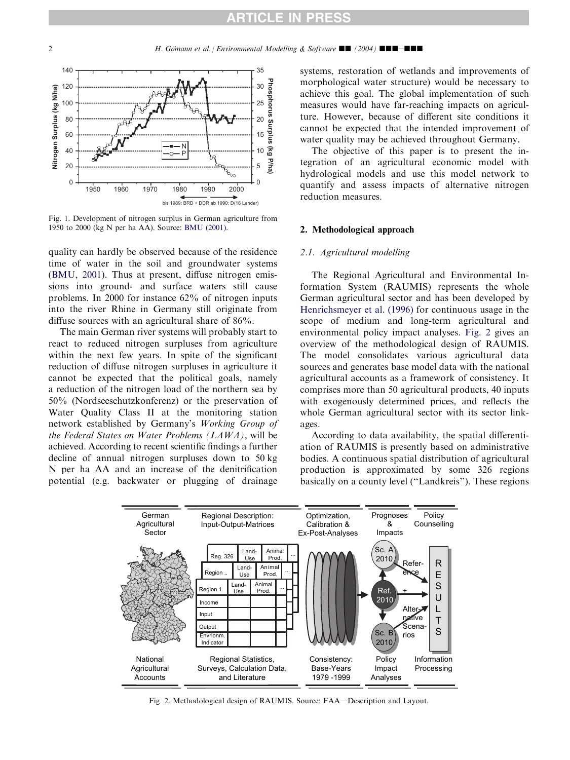<span id="page-1-0"></span>

Fig. 1. Development of nitrogen surplus in German agriculture from 1950 to 2000 (kg N per ha AA). Source: [BMU \(2001\)](#page-10-0).

quality can hardly be observed because of the residence time of water in the soil and groundwater systems ([BMU, 2001](#page-10-0)). Thus at present, diffuse nitrogen emissions into ground- and surface waters still cause problems. In 2000 for instance 62% of nitrogen inputs into the river Rhine in Germany still originate from diffuse sources with an agricultural share of 86%.

The main German river systems will probably start to react to reduced nitrogen surpluses from agriculture within the next few years. In spite of the significant reduction of diffuse nitrogen surpluses in agriculture it cannot be expected that the political goals, namely a reduction of the nitrogen load of the northern sea by 50% (Nordseeschutzkonferenz) or the preservation of Water Quality Class II at the monitoring station network established by Germany's Working Group of the Federal States on Water Problems (LAWA), will be achieved. According to recent scientific findings a further decline of annual nitrogen surpluses down to 50 kg N per ha AA and an increase of the denitrification potential (e.g. backwater or plugging of drainage systems, restoration of wetlands and improvements of morphological water structure) would be necessary to achieve this goal. The global implementation of such measures would have far-reaching impacts on agriculture. However, because of different site conditions it cannot be expected that the intended improvement of water quality may be achieved throughout Germany.

The objective of this paper is to present the integration of an agricultural economic model with hydrological models and use this model network to quantify and assess impacts of alternative nitrogen reduction measures.

## 2. Methodological approach

## 2.1. Agricultural modelling

The Regional Agricultural and Environmental Information System (RAUMIS) represents the whole German agricultural sector and has been developed by [Henrichsmeyer et al. \(1996\)](#page-10-0) for continuous usage in the scope of medium and long-term agricultural and environmental policy impact analyses. Fig. 2 gives an overview of the methodological design of RAUMIS. The model consolidates various agricultural data sources and generates base model data with the national agricultural accounts as a framework of consistency. It comprises more than 50 agricultural products, 40 inputs with exogenously determined prices, and reflects the whole German agricultural sector with its sector linkages.

According to data availability, the spatial differentiation of RAUMIS is presently based on administrative bodies. A continuous spatial distribution of agricultural production is approximated by some 326 regions basically on a county level (''Landkreis''). These regions



Fig. 2. Methodological design of RAUMIS. Source: FAA-Description and Layout.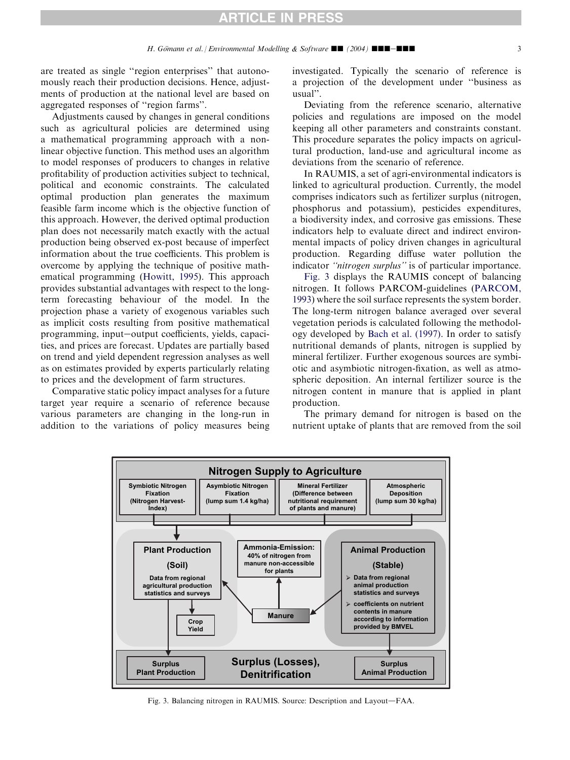are treated as single ''region enterprises'' that autonomously reach their production decisions. Hence, adjustments of production at the national level are based on aggregated responses of ''region farms''.

Adjustments caused by changes in general conditions such as agricultural policies are determined using a mathematical programming approach with a nonlinear objective function. This method uses an algorithm to model responses of producers to changes in relative profitability of production activities subject to technical, political and economic constraints. The calculated optimal production plan generates the maximum feasible farm income which is the objective function of this approach. However, the derived optimal production plan does not necessarily match exactly with the actual production being observed ex-post because of imperfect information about the true coefficients. This problem is overcome by applying the technique of positive mathematical programming [\(Howitt, 1995](#page-10-0)). This approach provides substantial advantages with respect to the longterm forecasting behaviour of the model. In the projection phase a variety of exogenous variables such as implicit costs resulting from positive mathematical programming, input-output coefficients, yields, capacities, and prices are forecast. Updates are partially based on trend and yield dependent regression analyses as well as on estimates provided by experts particularly relating to prices and the development of farm structures.

Comparative static policy impact analyses for a future target year require a scenario of reference because various parameters are changing in the long-run in addition to the variations of policy measures being

investigated. Typically the scenario of reference is a projection of the development under ''business as usual''.

Deviating from the reference scenario, alternative policies and regulations are imposed on the model keeping all other parameters and constraints constant. This procedure separates the policy impacts on agricultural production, land-use and agricultural income as deviations from the scenario of reference.

In RAUMIS, a set of agri-environmental indicators is linked to agricultural production. Currently, the model comprises indicators such as fertilizer surplus (nitrogen, phosphorus and potassium), pesticides expenditures, a biodiversity index, and corrosive gas emissions. These indicators help to evaluate direct and indirect environmental impacts of policy driven changes in agricultural production. Regarding diffuse water pollution the indicator ''nitrogen surplus'' is of particular importance.

Fig. 3 displays the RAUMIS concept of balancing nitrogen. It follows PARCOM-guidelines ([PARCOM,](#page-10-0) [1993](#page-10-0)) where the soil surface represents the system border. The long-term nitrogen balance averaged over several vegetation periods is calculated following the methodology developed by [Bach et al. \(1997\)](#page-10-0). In order to satisfy nutritional demands of plants, nitrogen is supplied by mineral fertilizer. Further exogenous sources are symbiotic and asymbiotic nitrogen-fixation, as well as atmospheric deposition. An internal fertilizer source is the nitrogen content in manure that is applied in plant production.

The primary demand for nitrogen is based on the nutrient uptake of plants that are removed from the soil



Fig. 3. Balancing nitrogen in RAUMIS. Source: Description and Layout-FAA.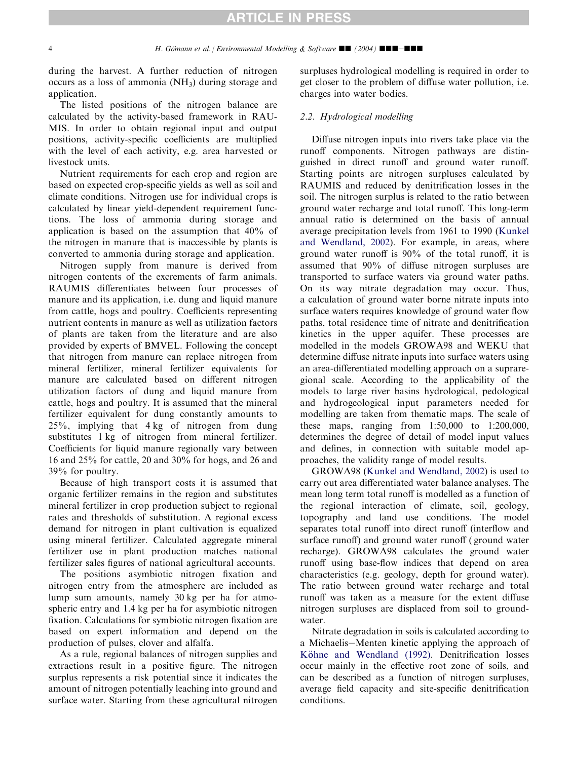during the harvest. A further reduction of nitrogen occurs as a loss of ammonia  $(NH_3)$  during storage and application.

The listed positions of the nitrogen balance are calculated by the activity-based framework in RAU-MIS. In order to obtain regional input and output positions, activity-specific coefficients are multiplied with the level of each activity, e.g. area harvested or livestock units.

Nutrient requirements for each crop and region are based on expected crop-specific yields as well as soil and climate conditions. Nitrogen use for individual crops is calculated by linear yield-dependent requirement functions. The loss of ammonia during storage and application is based on the assumption that 40% of the nitrogen in manure that is inaccessible by plants is converted to ammonia during storage and application.

Nitrogen supply from manure is derived from nitrogen contents of the excrements of farm animals. RAUMIS differentiates between four processes of manure and its application, i.e. dung and liquid manure from cattle, hogs and poultry. Coefficients representing nutrient contents in manure as well as utilization factors of plants are taken from the literature and are also provided by experts of BMVEL. Following the concept that nitrogen from manure can replace nitrogen from mineral fertilizer, mineral fertilizer equivalents for manure are calculated based on different nitrogen utilization factors of dung and liquid manure from cattle, hogs and poultry. It is assumed that the mineral fertilizer equivalent for dung constantly amounts to 25%, implying that 4 kg of nitrogen from dung substitutes 1 kg of nitrogen from mineral fertilizer. Coefficients for liquid manure regionally vary between 16 and 25% for cattle, 20 and 30% for hogs, and 26 and 39% for poultry.

Because of high transport costs it is assumed that organic fertilizer remains in the region and substitutes mineral fertilizer in crop production subject to regional rates and thresholds of substitution. A regional excess demand for nitrogen in plant cultivation is equalized using mineral fertilizer. Calculated aggregate mineral fertilizer use in plant production matches national fertilizer sales figures of national agricultural accounts.

The positions asymbiotic nitrogen fixation and nitrogen entry from the atmosphere are included as lump sum amounts, namely 30 kg per ha for atmospheric entry and 1.4 kg per ha for asymbiotic nitrogen fixation. Calculations for symbiotic nitrogen fixation are based on expert information and depend on the production of pulses, clover and alfalfa.

As a rule, regional balances of nitrogen supplies and extractions result in a positive figure. The nitrogen surplus represents a risk potential since it indicates the amount of nitrogen potentially leaching into ground and surface water. Starting from these agricultural nitrogen surpluses hydrological modelling is required in order to get closer to the problem of diffuse water pollution, i.e. charges into water bodies.

## 2.2. Hydrological modelling

Diffuse nitrogen inputs into rivers take place via the runoff components. Nitrogen pathways are distinguished in direct runoff and ground water runoff. Starting points are nitrogen surpluses calculated by RAUMIS and reduced by denitrification losses in the soil. The nitrogen surplus is related to the ratio between ground water recharge and total runoff. This long-term annual ratio is determined on the basis of annual average precipitation levels from 1961 to 1990 ([Kunkel](#page-10-0) [and Wendland, 2002](#page-10-0)). For example, in areas, where ground water runoff is 90% of the total runoff, it is assumed that 90% of diffuse nitrogen surpluses are transported to surface waters via ground water paths. On its way nitrate degradation may occur. Thus, a calculation of ground water borne nitrate inputs into surface waters requires knowledge of ground water flow paths, total residence time of nitrate and denitrification kinetics in the upper aquifer. These processes are modelled in the models GROWA98 and WEKU that determine diffuse nitrate inputs into surface waters using an area-differentiated modelling approach on a supraregional scale. According to the applicability of the models to large river basins hydrological, pedological and hydrogeological input parameters needed for modelling are taken from thematic maps. The scale of these maps, ranging from 1:50,000 to 1:200,000, determines the degree of detail of model input values and defines, in connection with suitable model approaches, the validity range of model results.

GROWA98 ([Kunkel and Wendland, 2002](#page-10-0)) is used to carry out area differentiated water balance analyses. The mean long term total runoff is modelled as a function of the regional interaction of climate, soil, geology, topography and land use conditions. The model separates total runoff into direct runoff (interflow and surface runoff) and ground water runoff ( ground water recharge). GROWA98 calculates the ground water runoff using base-flow indices that depend on area characteristics (e.g. geology, depth for ground water). The ratio between ground water recharge and total runoff was taken as a measure for the extent diffuse nitrogen surpluses are displaced from soil to groundwater.

Nitrate degradation in soils is calculated according to a Michaelis-Menten kinetic applying the approach of Köhne and Wendland (1992). Denitrification losses occur mainly in the effective root zone of soils, and can be described as a function of nitrogen surpluses, average field capacity and site-specific denitrification conditions.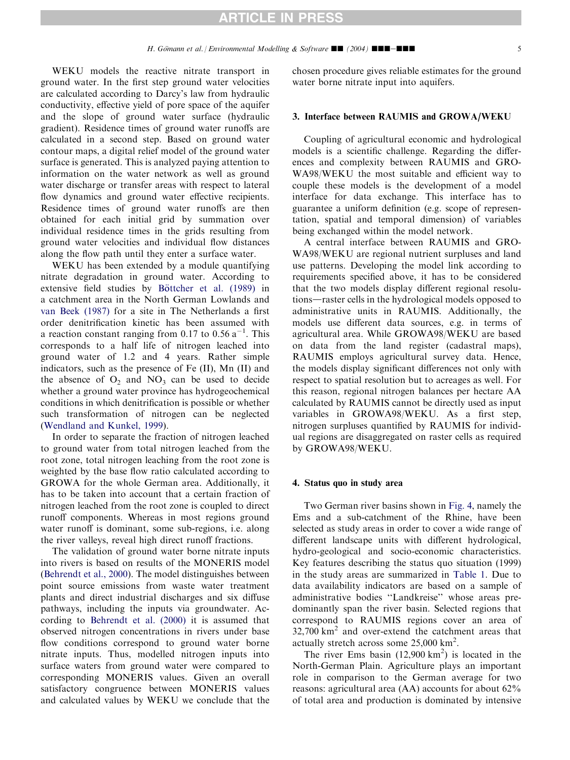WEKU models the reactive nitrate transport in ground water. In the first step ground water velocities are calculated according to Darcy's law from hydraulic conductivity, effective yield of pore space of the aquifer and the slope of ground water surface (hydraulic gradient). Residence times of ground water runoffs are calculated in a second step. Based on ground water contour maps, a digital relief model of the ground water surface is generated. This is analyzed paying attention to information on the water network as well as ground water discharge or transfer areas with respect to lateral flow dynamics and ground water effective recipients. Residence times of ground water runoffs are then obtained for each initial grid by summation over individual residence times in the grids resulting from ground water velocities and individual flow distances along the flow path until they enter a surface water.

WEKU has been extended by a module quantifying nitrate degradation in ground water. According to extensive field studies by Böttcher et al. (1989) in a catchment area in the North German Lowlands and [van Beek \(1987\)](#page-10-0) for a site in The Netherlands a first order denitrification kinetic has been assumed with a reaction constant ranging from 0.17 to 0.56  $a^{-1}$ . This corresponds to a half life of nitrogen leached into ground water of 1.2 and 4 years. Rather simple indicators, such as the presence of Fe (II), Mn (II) and the absence of  $O_2$  and  $NO_3$  can be used to decide whether a ground water province has hydrogeochemical conditions in which denitrification is possible or whether such transformation of nitrogen can be neglected ([Wendland and Kunkel, 1999](#page-10-0)).

In order to separate the fraction of nitrogen leached to ground water from total nitrogen leached from the root zone, total nitrogen leaching from the root zone is weighted by the base flow ratio calculated according to GROWA for the whole German area. Additionally, it has to be taken into account that a certain fraction of nitrogen leached from the root zone is coupled to direct runoff components. Whereas in most regions ground water runoff is dominant, some sub-regions, i.e. along the river valleys, reveal high direct runoff fractions.

The validation of ground water borne nitrate inputs into rivers is based on results of the MONERIS model ([Behrendt et al., 2000](#page-10-0)). The model distinguishes between point source emissions from waste water treatment plants and direct industrial discharges and six diffuse pathways, including the inputs via groundwater. According to [Behrendt et al. \(2000\)](#page-10-0) it is assumed that observed nitrogen concentrations in rivers under base flow conditions correspond to ground water borne nitrate inputs. Thus, modelled nitrogen inputs into surface waters from ground water were compared to corresponding MONERIS values. Given an overall satisfactory congruence between MONERIS values and calculated values by WEKU we conclude that the chosen procedure gives reliable estimates for the ground water borne nitrate input into aquifers.

## 3. Interface between RAUMIS and GROWA/WEKU

Coupling of agricultural economic and hydrological models is a scientific challenge. Regarding the differences and complexity between RAUMIS and GRO-WA98/WEKU the most suitable and efficient way to couple these models is the development of a model interface for data exchange. This interface has to guarantee a uniform definition (e.g. scope of representation, spatial and temporal dimension) of variables being exchanged within the model network.

A central interface between RAUMIS and GRO-WA98/WEKU are regional nutrient surpluses and land use patterns. Developing the model link according to requirements specified above, it has to be considered that the two models display different regional resolutions—raster cells in the hydrological models opposed to administrative units in RAUMIS. Additionally, the models use different data sources, e.g. in terms of agricultural area. While GROWA98/WEKU are based on data from the land register (cadastral maps), RAUMIS employs agricultural survey data. Hence, the models display significant differences not only with respect to spatial resolution but to acreages as well. For this reason, regional nitrogen balances per hectare AA calculated by RAUMIS cannot be directly used as input variables in GROWA98/WEKU. As a first step, nitrogen surpluses quantified by RAUMIS for individual regions are disaggregated on raster cells as required by GROWA98/WEKU.

#### 4. Status quo in study area

Two German river basins shown in [Fig. 4](#page-5-0), namely the Ems and a sub-catchment of the Rhine, have been selected as study areas in order to cover a wide range of different landscape units with different hydrological, hydro-geological and socio-economic characteristics. Key features describing the status quo situation (1999) in the study areas are summarized in [Table 1.](#page-5-0) Due to data availability indicators are based on a sample of administrative bodies ''Landkreise'' whose areas predominantly span the river basin. Selected regions that correspond to RAUMIS regions cover an area of  $32,700 \text{ km}^2$  and over-extend the catchment areas that actually stretch across some  $25,000 \text{ km}^2$ .

The river Ems basin  $(12,900 \text{ km}^2)$  is located in the North-German Plain. Agriculture plays an important role in comparison to the German average for two reasons: agricultural area (AA) accounts for about 62% of total area and production is dominated by intensive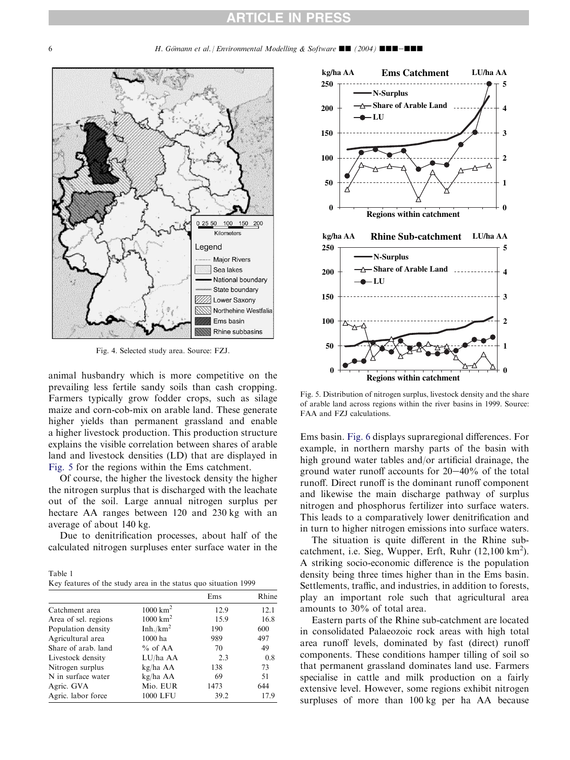<span id="page-5-0"></span>6 **H.** Gömann et al. *| Environmental Modelling & Software*  $\blacksquare$  (2004)  $\blacksquare$ 



Fig. 4. Selected study area. Source: FZJ.

animal husbandry which is more competitive on the prevailing less fertile sandy soils than cash cropping. Farmers typically grow fodder crops, such as silage maize and corn-cob-mix on arable land. These generate higher yields than permanent grassland and enable a higher livestock production. This production structure explains the visible correlation between shares of arable land and livestock densities (LD) that are displayed in Fig. 5 for the regions within the Ems catchment.

Of course, the higher the livestock density the higher the nitrogen surplus that is discharged with the leachate out of the soil. Large annual nitrogen surplus per hectare AA ranges between 120 and 230 kg with an average of about 140 kg.

Due to denitrification processes, about half of the calculated nitrogen surpluses enter surface water in the

Table 1 Key features of the study area in the status quo situation 1999

|                      |                     | Ems  | Rhine |
|----------------------|---------------------|------|-------|
| Catchment area       | $1000 \text{ km}^2$ | 12.9 | 12.1  |
| Area of sel. regions | $1000 \text{ km}^2$ | 15.9 | 16.8  |
| Population density   | Inh./ $km^2$        | 190  | 600   |
| Agricultural area    | 1000 ha             | 989  | 497   |
| Share of arab. land  | $%$ of AA           | 70   | 49    |
| Livestock density    | LU/ha AA            | 2.3  | 0.8   |
| Nitrogen surplus     | kg/ha AA            | 138  | 73    |
| N in surface water   | kg/ha AA            | 69   | 51    |
| Agric. GVA           | Mio. EUR            | 1473 | 644   |
| Agric. labor force   | 1000 LFU            | 39.2 | 17.9  |



Fig. 5. Distribution of nitrogen surplus, livestock density and the share of arable land across regions within the river basins in 1999. Source: FAA and FZJ calculations.

Ems basin. [Fig. 6](#page-6-0) displays supraregional differences. For example, in northern marshy parts of the basin with high ground water tables and/or artificial drainage, the ground water runoff accounts for  $20-40\%$  of the total runoff. Direct runoff is the dominant runoff component and likewise the main discharge pathway of surplus nitrogen and phosphorus fertilizer into surface waters. This leads to a comparatively lower denitrification and in turn to higher nitrogen emissions into surface waters.

The situation is quite different in the Rhine subcatchment, i.e. Sieg, Wupper, Erft, Ruhr  $(12,100 \text{ km}^2)$ . A striking socio-economic difference is the population density being three times higher than in the Ems basin. Settlements, traffic, and industries, in addition to forests, play an important role such that agricultural area amounts to 30% of total area.

Eastern parts of the Rhine sub-catchment are located in consolidated Palaeozoic rock areas with high total area runoff levels, dominated by fast (direct) runoff components. These conditions hamper tilling of soil so that permanent grassland dominates land use. Farmers specialise in cattle and milk production on a fairly extensive level. However, some regions exhibit nitrogen surpluses of more than 100 kg per ha AA because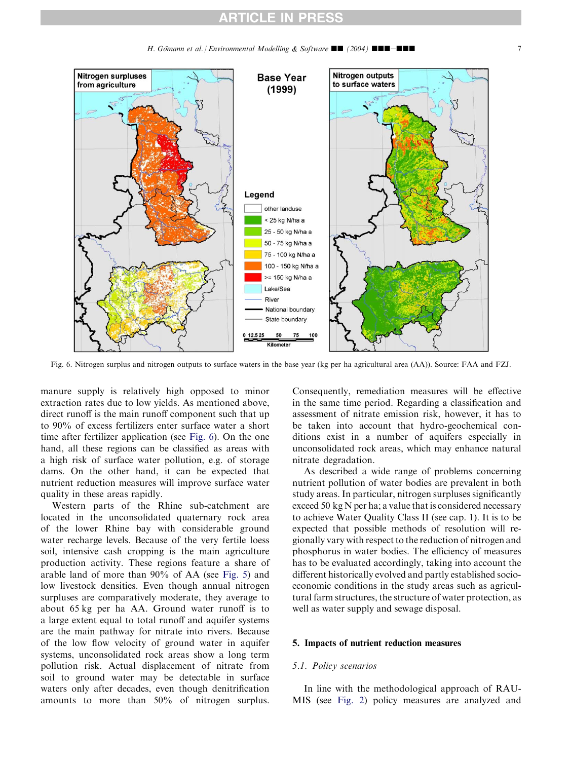<span id="page-6-0"></span>

Fig. 6. Nitrogen surplus and nitrogen outputs to surface waters in the base year (kg per ha agricultural area (AA)). Source: FAA and FZJ.

manure supply is relatively high opposed to minor extraction rates due to low yields. As mentioned above, direct runoff is the main runoff component such that up to 90% of excess fertilizers enter surface water a short time after fertilizer application (see Fig. 6). On the one hand, all these regions can be classified as areas with a high risk of surface water pollution, e.g. of storage dams. On the other hand, it can be expected that nutrient reduction measures will improve surface water quality in these areas rapidly.

Western parts of the Rhine sub-catchment are located in the unconsolidated quaternary rock area of the lower Rhine bay with considerable ground water recharge levels. Because of the very fertile loess soil, intensive cash cropping is the main agriculture production activity. These regions feature a share of arable land of more than 90% of AA (see [Fig. 5](#page-5-0)) and low livestock densities. Even though annual nitrogen surpluses are comparatively moderate, they average to about 65 kg per ha AA. Ground water runoff is to a large extent equal to total runoff and aquifer systems are the main pathway for nitrate into rivers. Because of the low flow velocity of ground water in aquifer systems, unconsolidated rock areas show a long term pollution risk. Actual displacement of nitrate from soil to ground water may be detectable in surface waters only after decades, even though denitrification amounts to more than 50% of nitrogen surplus.

Consequently, remediation measures will be effective in the same time period. Regarding a classification and assessment of nitrate emission risk, however, it has to be taken into account that hydro-geochemical conditions exist in a number of aquifers especially in unconsolidated rock areas, which may enhance natural nitrate degradation.

As described a wide range of problems concerning nutrient pollution of water bodies are prevalent in both study areas. In particular, nitrogen surpluses significantly exceed 50 kg N per ha; a value that is considered necessary to achieve Water Quality Class II (see cap. 1). It is to be expected that possible methods of resolution will regionally vary with respect to the reduction of nitrogen and phosphorus in water bodies. The efficiency of measures has to be evaluated accordingly, taking into account the different historically evolved and partly established socioeconomic conditions in the study areas such as agricultural farm structures, the structure of water protection, as well as water supply and sewage disposal.

## 5. Impacts of nutrient reduction measures

## 5.1. Policy scenarios

In line with the methodological approach of RAU-MIS (see [Fig. 2](#page-1-0)) policy measures are analyzed and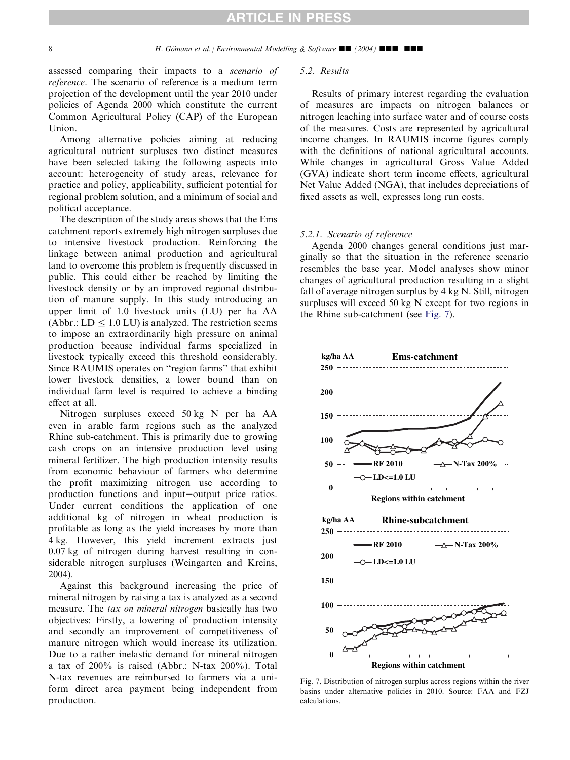<span id="page-7-0"></span>assessed comparing their impacts to a scenario of reference. The scenario of reference is a medium term projection of the development until the year 2010 under policies of Agenda 2000 which constitute the current Common Agricultural Policy (CAP) of the European Union.

Among alternative policies aiming at reducing agricultural nutrient surpluses two distinct measures have been selected taking the following aspects into account: heterogeneity of study areas, relevance for practice and policy, applicability, sufficient potential for regional problem solution, and a minimum of social and political acceptance.

The description of the study areas shows that the Ems catchment reports extremely high nitrogen surpluses due to intensive livestock production. Reinforcing the linkage between animal production and agricultural land to overcome this problem is frequently discussed in public. This could either be reached by limiting the livestock density or by an improved regional distribution of manure supply. In this study introducing an upper limit of 1.0 livestock units (LU) per ha AA (Abbr.: LD  $\leq 1.0$  LU) is analyzed. The restriction seems to impose an extraordinarily high pressure on animal production because individual farms specialized in livestock typically exceed this threshold considerably. Since RAUMIS operates on ''region farms'' that exhibit lower livestock densities, a lower bound than on individual farm level is required to achieve a binding effect at all.

Nitrogen surpluses exceed 50 kg N per ha AA even in arable farm regions such as the analyzed Rhine sub-catchment. This is primarily due to growing cash crops on an intensive production level using mineral fertilizer. The high production intensity results from economic behaviour of farmers who determine the profit maximizing nitrogen use according to production functions and input-output price ratios. Under current conditions the application of one additional kg of nitrogen in wheat production is profitable as long as the yield increases by more than 4 kg. However, this yield increment extracts just 0.07 kg of nitrogen during harvest resulting in considerable nitrogen surpluses (Weingarten and Kreins, 2004).

Against this background increasing the price of mineral nitrogen by raising a tax is analyzed as a second measure. The tax on mineral nitrogen basically has two objectives: Firstly, a lowering of production intensity and secondly an improvement of competitiveness of manure nitrogen which would increase its utilization. Due to a rather inelastic demand for mineral nitrogen a tax of 200% is raised (Abbr.: N-tax 200%). Total N-tax revenues are reimbursed to farmers via a uniform direct area payment being independent from production.

## 5.2. Results

Results of primary interest regarding the evaluation of measures are impacts on nitrogen balances or nitrogen leaching into surface water and of course costs of the measures. Costs are represented by agricultural income changes. In RAUMIS income figures comply with the definitions of national agricultural accounts. While changes in agricultural Gross Value Added (GVA) indicate short term income effects, agricultural Net Value Added (NGA), that includes depreciations of fixed assets as well, expresses long run costs.

#### 5.2.1. Scenario of reference

Agenda 2000 changes general conditions just marginally so that the situation in the reference scenario resembles the base year. Model analyses show minor changes of agricultural production resulting in a slight fall of average nitrogen surplus by 4 kg N. Still, nitrogen surpluses will exceed 50 kg N except for two regions in the Rhine sub-catchment (see Fig. 7).



Fig. 7. Distribution of nitrogen surplus across regions within the river basins under alternative policies in 2010. Source: FAA and FZJ calculations.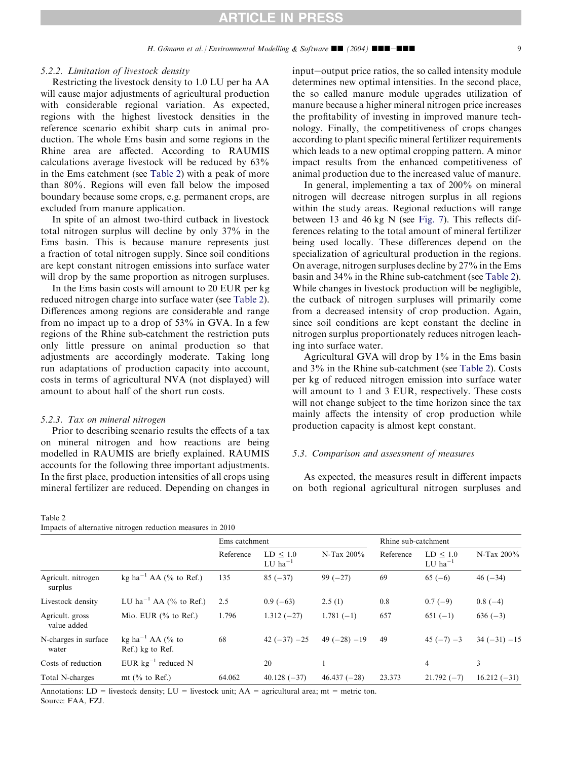## 5.2.2. Limitation of livestock density

Restricting the livestock density to 1.0 LU per ha AA will cause major adjustments of agricultural production with considerable regional variation. As expected, regions with the highest livestock densities in the reference scenario exhibit sharp cuts in animal production. The whole Ems basin and some regions in the Rhine area are affected. According to RAUMIS calculations average livestock will be reduced by 63% in the Ems catchment (see Table 2) with a peak of more than 80%. Regions will even fall below the imposed boundary because some crops, e.g. permanent crops, are excluded from manure application.

In spite of an almost two-third cutback in livestock total nitrogen surplus will decline by only 37% in the Ems basin. This is because manure represents just a fraction of total nitrogen supply. Since soil conditions are kept constant nitrogen emissions into surface water will drop by the same proportion as nitrogen surpluses.

In the Ems basin costs will amount to 20 EUR per kg reduced nitrogen charge into surface water (see Table 2). Differences among regions are considerable and range from no impact up to a drop of 53% in GVA. In a few regions of the Rhine sub-catchment the restriction puts only little pressure on animal production so that adjustments are accordingly moderate. Taking long run adaptations of production capacity into account, costs in terms of agricultural NVA (not displayed) will amount to about half of the short run costs.

## 5.2.3. Tax on mineral nitrogen

Prior to describing scenario results the effects of a tax on mineral nitrogen and how reactions are being modelled in RAUMIS are briefly explained. RAUMIS accounts for the following three important adjustments. In the first place, production intensities of all crops using mineral fertilizer are reduced. Depending on changes in

## Table 2

|  |  | Impacts of alternative nitrogen reduction measures in 2010 |  |  |  |  |  |
|--|--|------------------------------------------------------------|--|--|--|--|--|
|--|--|------------------------------------------------------------|--|--|--|--|--|

input-output price ratios, the so called intensity module determines new optimal intensities. In the second place, the so called manure module upgrades utilization of manure because a higher mineral nitrogen price increases the profitability of investing in improved manure technology. Finally, the competitiveness of crops changes according to plant specific mineral fertilizer requirements which leads to a new optimal cropping pattern. A minor impact results from the enhanced competitiveness of animal production due to the increased value of manure.

In general, implementing a tax of 200% on mineral nitrogen will decrease nitrogen surplus in all regions within the study areas. Regional reductions will range between 13 and 46 kg N (see [Fig. 7](#page-7-0)). This reflects differences relating to the total amount of mineral fertilizer being used locally. These differences depend on the specialization of agricultural production in the regions. On average, nitrogen surpluses decline by 27% in the Ems basin and 34% in the Rhine sub-catchment (see Table 2). While changes in livestock production will be negligible, the cutback of nitrogen surpluses will primarily come from a decreased intensity of crop production. Again, since soil conditions are kept constant the decline in nitrogen surplus proportionately reduces nitrogen leaching into surface water.

Agricultural GVA will drop by  $1\%$  in the Ems basin and 3% in the Rhine sub-catchment (see Table 2). Costs per kg of reduced nitrogen emission into surface water will amount to 1 and 3 EUR, respectively. These costs will not change subject to the time horizon since the tax mainly affects the intensity of crop production while production capacity is almost kept constant.

## 5.3. Comparison and assessment of measures

As expected, the measures result in different impacts on both regional agricultural nitrogen surpluses and

|                                |                                                  | Ems catchment |                                                     | Rhine sub-catchment |           |                                                     |               |
|--------------------------------|--------------------------------------------------|---------------|-----------------------------------------------------|---------------------|-----------|-----------------------------------------------------|---------------|
|                                |                                                  | Reference     | $LD \leq 1.0$<br>$LU$ ha <sup><math>-1</math></sup> | N-Tax 200%          | Reference | $LD \leq 1.0$<br>$LU$ ha <sup><math>-1</math></sup> | $N-Tax$ 200%  |
| Agricult. nitrogen<br>surplus  | kg ha <sup>-1</sup> AA (% to Ref.)               | 135           | $85(-37)$                                           | $99(-27)$           | 69        | $65(-6)$                                            | $46(-34)$     |
| Livestock density              | LU ha <sup>-1</sup> AA (% to Ref.)               | 2.5           | $0.9(-63)$                                          | 2.5(1)              | 0.8       | $0.7(-9)$                                           | $0.8(-4)$     |
| Agricult. gross<br>value added | Mio. EUR $(\%$ to Ref.)                          | 1.796         | $1.312(-27)$                                        | $1.781(-1)$         | 657       | $651(-1)$                                           | $636(-3)$     |
| N-charges in surface<br>water  | kg ha <sup>-1</sup> AA (% to<br>Ref.) kg to Ref. | 68            | 42 $(-37) -25$                                      | 49 $(-28)$ -19      | 49        | $45(-7) -3$                                         | $34(-31) -15$ |
| Costs of reduction             | EUR $kg^{-1}$ reduced N                          |               | 20                                                  |                     |           | $\overline{4}$                                      | 3             |
| Total N-charges                | mt $(\%$ to Ref.)                                | 64.062        | $40.128(-37)$                                       | $46.437(-28)$       | 23.373    | $21.792(-7)$                                        | $16.212(-31)$ |

Annotations:  $LD =$  livestock density;  $LU =$  livestock unit;  $AA =$  agricultural area;  $mt =$  metric ton. Source: FAA, FZJ.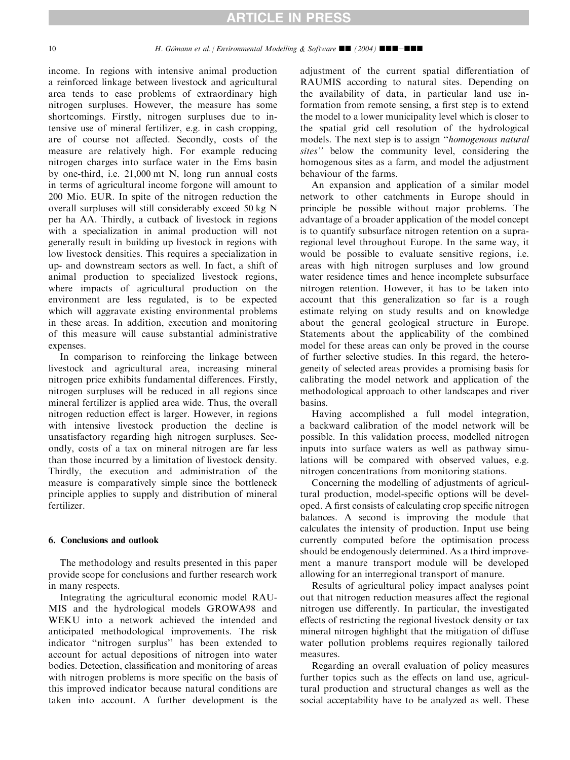income. In regions with intensive animal production a reinforced linkage between livestock and agricultural area tends to ease problems of extraordinary high nitrogen surpluses. However, the measure has some shortcomings. Firstly, nitrogen surpluses due to intensive use of mineral fertilizer, e.g. in cash cropping, are of course not affected. Secondly, costs of the measure are relatively high. For example reducing nitrogen charges into surface water in the Ems basin by one-third, i.e. 21,000 mt N, long run annual costs in terms of agricultural income forgone will amount to 200 Mio. EUR. In spite of the nitrogen reduction the overall surpluses will still considerably exceed 50 kg N per ha AA. Thirdly, a cutback of livestock in regions with a specialization in animal production will not generally result in building up livestock in regions with low livestock densities. This requires a specialization in up- and downstream sectors as well. In fact, a shift of animal production to specialized livestock regions, where impacts of agricultural production on the environment are less regulated, is to be expected which will aggravate existing environmental problems in these areas. In addition, execution and monitoring of this measure will cause substantial administrative expenses.

In comparison to reinforcing the linkage between livestock and agricultural area, increasing mineral nitrogen price exhibits fundamental differences. Firstly, nitrogen surpluses will be reduced in all regions since mineral fertilizer is applied area wide. Thus, the overall nitrogen reduction effect is larger. However, in regions with intensive livestock production the decline is unsatisfactory regarding high nitrogen surpluses. Secondly, costs of a tax on mineral nitrogen are far less than those incurred by a limitation of livestock density. Thirdly, the execution and administration of the measure is comparatively simple since the bottleneck principle applies to supply and distribution of mineral fertilizer.

## 6. Conclusions and outlook

The methodology and results presented in this paper provide scope for conclusions and further research work in many respects.

Integrating the agricultural economic model RAU-MIS and the hydrological models GROWA98 and WEKU into a network achieved the intended and anticipated methodological improvements. The risk indicator ''nitrogen surplus'' has been extended to account for actual depositions of nitrogen into water bodies. Detection, classification and monitoring of areas with nitrogen problems is more specific on the basis of this improved indicator because natural conditions are taken into account. A further development is the

adjustment of the current spatial differentiation of RAUMIS according to natural sites. Depending on the availability of data, in particular land use information from remote sensing, a first step is to extend the model to a lower municipality level which is closer to the spatial grid cell resolution of the hydrological models. The next step is to assign ''homogenous natural sites" below the community level, considering the homogenous sites as a farm, and model the adjustment behaviour of the farms.

An expansion and application of a similar model network to other catchments in Europe should in principle be possible without major problems. The advantage of a broader application of the model concept is to quantify subsurface nitrogen retention on a supraregional level throughout Europe. In the same way, it would be possible to evaluate sensitive regions, i.e. areas with high nitrogen surpluses and low ground water residence times and hence incomplete subsurface nitrogen retention. However, it has to be taken into account that this generalization so far is a rough estimate relying on study results and on knowledge about the general geological structure in Europe. Statements about the applicability of the combined model for these areas can only be proved in the course of further selective studies. In this regard, the heterogeneity of selected areas provides a promising basis for calibrating the model network and application of the methodological approach to other landscapes and river basins.

Having accomplished a full model integration, a backward calibration of the model network will be possible. In this validation process, modelled nitrogen inputs into surface waters as well as pathway simulations will be compared with observed values, e.g. nitrogen concentrations from monitoring stations.

Concerning the modelling of adjustments of agricultural production, model-specific options will be developed. A first consists of calculating crop specific nitrogen balances. A second is improving the module that calculates the intensity of production. Input use being currently computed before the optimisation process should be endogenously determined. As a third improvement a manure transport module will be developed allowing for an interregional transport of manure.

Results of agricultural policy impact analyses point out that nitrogen reduction measures affect the regional nitrogen use differently. In particular, the investigated effects of restricting the regional livestock density or tax mineral nitrogen highlight that the mitigation of diffuse water pollution problems requires regionally tailored measures.

Regarding an overall evaluation of policy measures further topics such as the effects on land use, agricultural production and structural changes as well as the social acceptability have to be analyzed as well. These